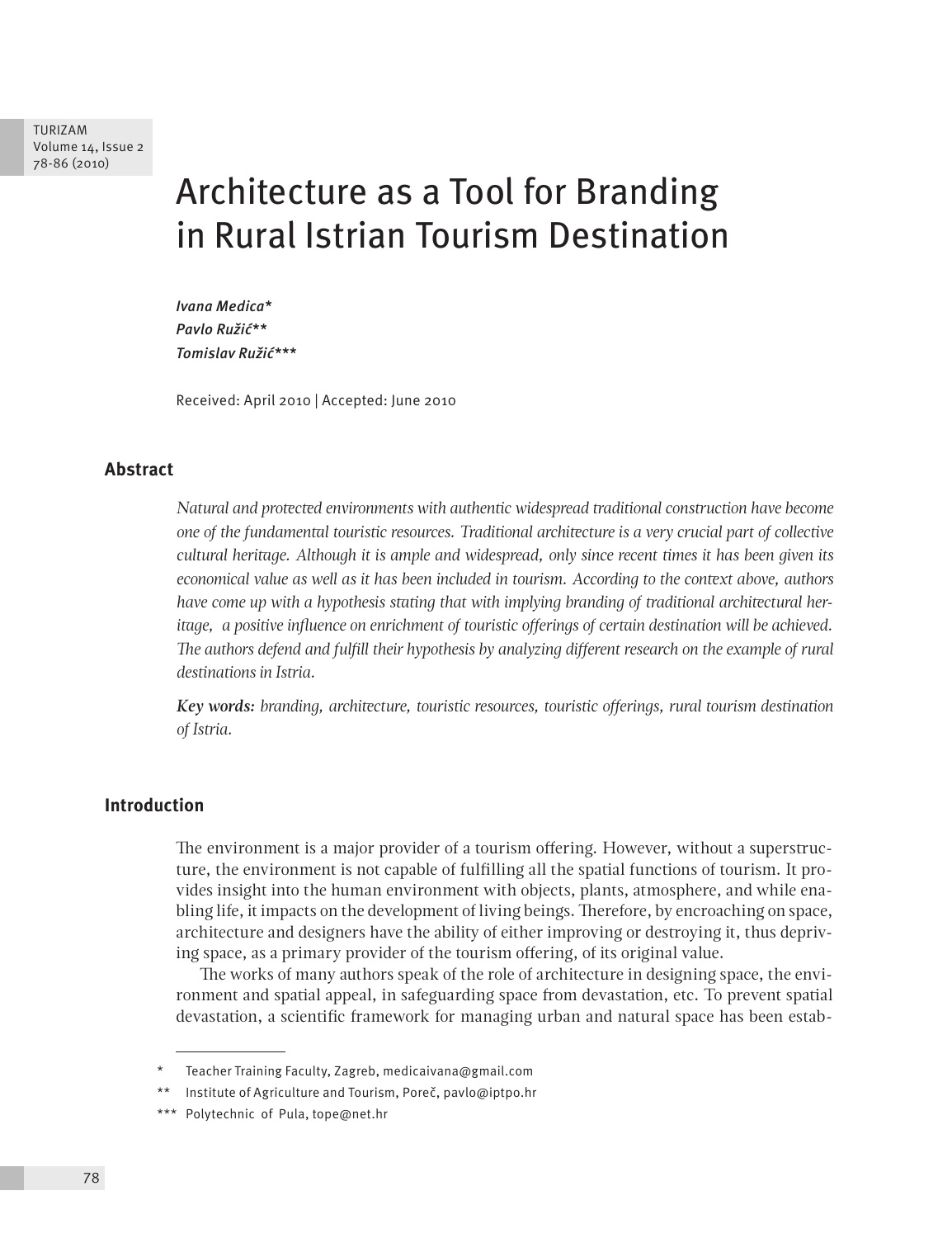# Architecture as a Tool for Branding in Rural Istrian Tourism Destination

*Ivana Medica\* Pavlo Ružić\*\* Tomislav Ružić\*\*\**

Received: April 2010 | Accepted: June 2010

# **Abstract**

*Natural and protected environments with authentic widespread traditional construction have become one of the fundamental touristic resources. Traditional architecture is a very crucial part of collective cultural heritage. Although it is ample and widespread, only since recent times it has been given its economical value as well as it has been included in tourism. According to the context above, authors have come up with a hypothesis stating that with implying branding of traditional architectural heritage, a positive influence on enrichment of touristic offerings of certain destination will be achieved. The authors defend and fulfill their hypothesis by analyzing different research on the example of rural destinations in Istria.*

*Key words: branding, architecture, touristic resources, touristic offerings, rural tourism destination of Istria.*

#### **Introduction**

The environment is a major provider of a tourism offering. However, without a superstructure, the environment is not capable of fulfilling all the spatial functions of tourism. It provides insight into the human environment with objects, plants, atmosphere, and while enabling life, it impacts on the development of living beings. Therefore, by encroaching on space, architecture and designers have the ability of either improving or destroying it, thus depriving space, as a primary provider of the tourism offering, of its original value.

The works of many authors speak of the role of architecture in designing space, the environment and spatial appeal, in safeguarding space from devastation, etc. To prevent spatial devastation, a scientific framework for managing urban and natural space has been estab-

Teacher Training Faculty, Zagreb, medicaivana@gmail.com

Institute of Agriculture and Tourism, Poreč, pavlo@iptpo.hr

<sup>\*\*\*</sup> Polytechnic of Pula, tope@net.hr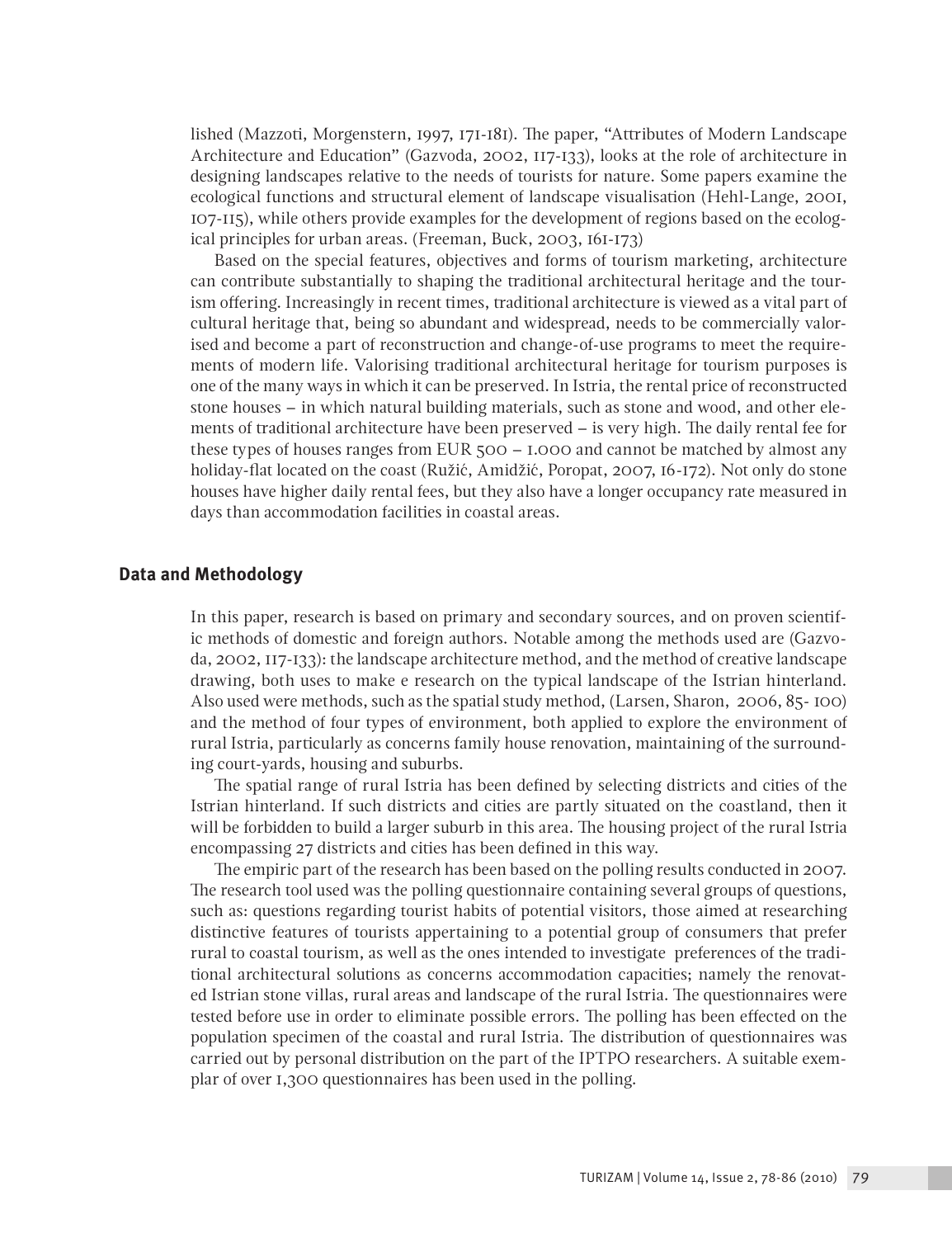lished (Mazzoti, Morgenstern, 1997, 171-181). The paper, "Attributes of Modern Landscape Architecture and Education" (Gazvoda, 2002, 117-133), looks at the role of architecture in designing landscapes relative to the needs of tourists for nature. Some papers examine the ecological functions and structural element of landscape visualisation (Hehl-Lange, 2001, 107-115), while others provide examples for the development of regions based on the ecological principles for urban areas. (Freeman, Buck, 2003, 161-173)

Based on the special features, objectives and forms of tourism marketing, architecture can contribute substantially to shaping the traditional architectural heritage and the tourism offering. Increasingly in recent times, traditional architecture is viewed as a vital part of cultural heritage that, being so abundant and widespread, needs to be commercially valorised and become a part of reconstruction and change-of-use programs to meet the requirements of modern life. Valorising traditional architectural heritage for tourism purposes is one of the many ways in which it can be preserved. In Istria, the rental price of reconstructed stone houses – in which natural building materials, such as stone and wood, and other elements of traditional architecture have been preserved – is very high. The daily rental fee for these types of houses ranges from EUR 500 – 1.000 and cannot be matched by almost any holiday-flat located on the coast (Ružić, Amidžić, Poropat, 2007, 16-172). Not only do stone houses have higher daily rental fees, but they also have a longer occupancy rate measured in days than accommodation facilities in coastal areas.

#### **Data and Methodology**

In this paper, research is based on primary and secondary sources, and on proven scientific methods of domestic and foreign authors. Notable among the methods used are (Gazvoda, 2002, 117-133): the landscape architecture method, and the method of creative landscape drawing, both uses to make e research on the typical landscape of the Istrian hinterland. Also used were methods, such as the spatial study method, (Larsen, Sharon, 2006, 85- 100) and the method of four types of environment, both applied to explore the environment of rural Istria, particularly as concerns family house renovation, maintaining of the surrounding court-yards, housing and suburbs.

The spatial range of rural Istria has been defined by selecting districts and cities of the Istrian hinterland. If such districts and cities are partly situated on the coastland, then it will be forbidden to build a larger suburb in this area. The housing project of the rural Istria encompassing 27 districts and cities has been defined in this way.

The empiric part of the research has been based on the polling results conducted in 2007. The research tool used was the polling questionnaire containing several groups of questions, such as: questions regarding tourist habits of potential visitors, those aimed at researching distinctive features of tourists appertaining to a potential group of consumers that prefer rural to coastal tourism, as well as the ones intended to investigate preferences of the traditional architectural solutions as concerns accommodation capacities; namely the renovated Istrian stone villas, rural areas and landscape of the rural Istria. The questionnaires were tested before use in order to eliminate possible errors. The polling has been effected on the population specimen of the coastal and rural Istria. The distribution of questionnaires was carried out by personal distribution on the part of the IPTPO researchers. A suitable exemplar of over 1,300 questionnaires has been used in the polling.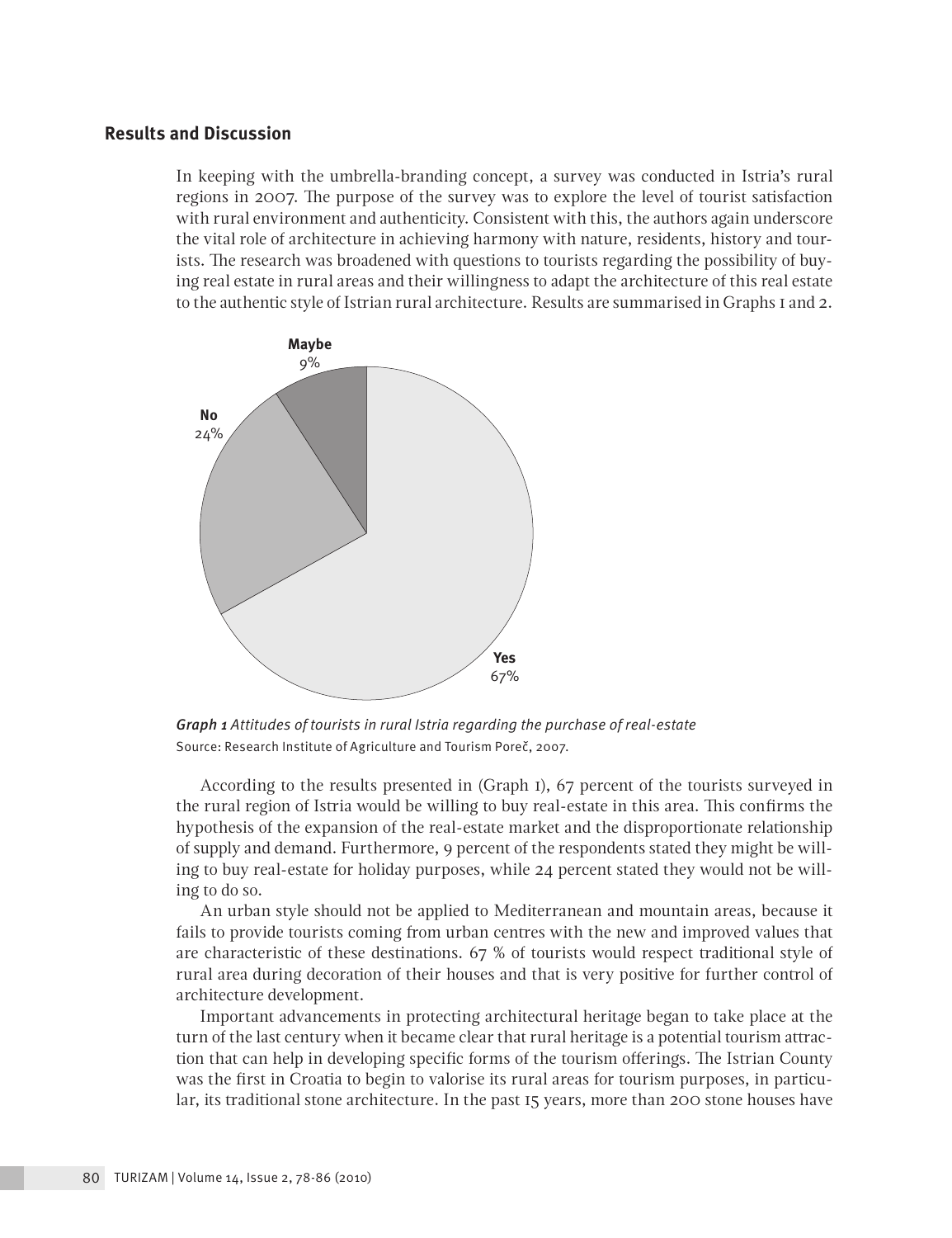### **Results and Discussion**

In keeping with the umbrella-branding concept, a survey was conducted in Istria's rural regions in 2007. The purpose of the survey was to explore the level of tourist satisfaction with rural environment and authenticity. Consistent with this, the authors again underscore the vital role of architecture in achieving harmony with nature, residents, history and tourists. The research was broadened with questions to tourists regarding the possibility of buying real estate in rural areas and their willingness to adapt the architecture of this real estate to the authentic style of Istrian rural architecture. Results are summarised in Graphs 1 and 2.



*Graph 1 Attitudes of tourists in rural Istria regarding the purchase of real-estate*  Source: Research Institute of Agriculture and Tourism Poreč, 2007.

According to the results presented in (Graph 1), 67 percent of the tourists surveyed in the rural region of Istria would be willing to buy real-estate in this area. This confirms the hypothesis of the expansion of the real-estate market and the disproportionate relationship of supply and demand. Furthermore, 9 percent of the respondents stated they might be willing to buy real-estate for holiday purposes, while 24 percent stated they would not be willing to do so.

An urban style should not be applied to Mediterranean and mountain areas, because it fails to provide tourists coming from urban centres with the new and improved values that are characteristic of these destinations. 67 % of tourists would respect traditional style of rural area during decoration of their houses and that is very positive for further control of architecture development.

Important advancements in protecting architectural heritage began to take place at the turn of the last century when it became clear that rural heritage is a potential tourism attraction that can help in developing specific forms of the tourism offerings. The Istrian County was the first in Croatia to begin to valorise its rural areas for tourism purposes, in particular, its traditional stone architecture. In the past 15 years, more than 200 stone houses have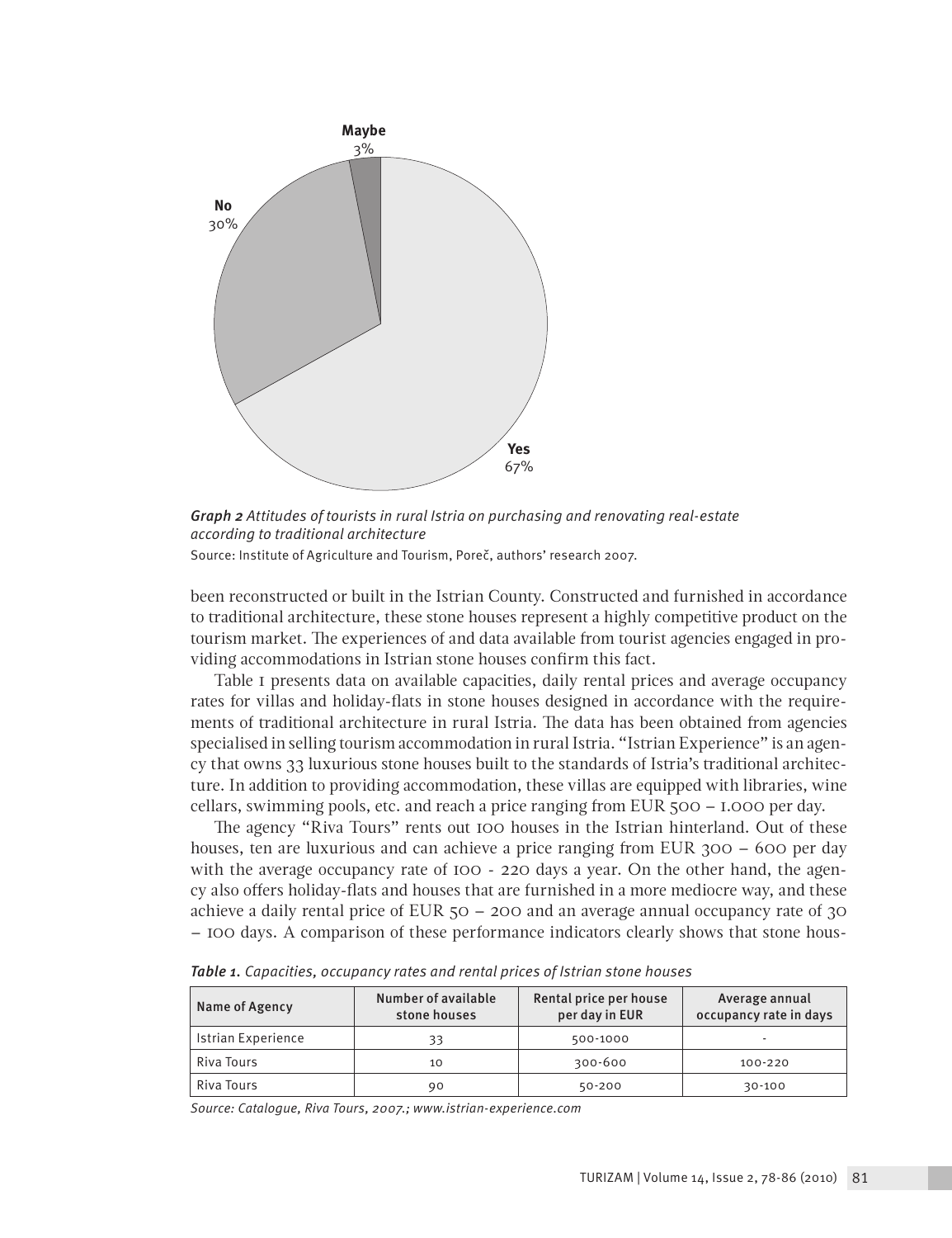

*Graph 2 Attitudes of tourists in rural Istria on purchasing and renovating real-estate according to traditional architecture* Source: Institute of Agriculture and Tourism, Poreč, authors' research 2007.

been reconstructed or built in the Istrian County. Constructed and furnished in accordance to traditional architecture, these stone houses represent a highly competitive product on the tourism market. The experiences of and data available from tourist agencies engaged in providing accommodations in Istrian stone houses confirm this fact.

Table 1 presents data on available capacities, daily rental prices and average occupancy rates for villas and holiday-flats in stone houses designed in accordance with the requirements of traditional architecture in rural Istria. The data has been obtained from agencies specialised in selling tourism accommodation in rural Istria. "Istrian Experience" is an agency that owns 33 luxurious stone houses built to the standards of Istria's traditional architecture. In addition to providing accommodation, these villas are equipped with libraries, wine cellars, swimming pools, etc. and reach a price ranging from EUR 500 – 1.000 per day.

The agency "Riva Tours" rents out 100 houses in the Istrian hinterland. Out of these houses, ten are luxurious and can achieve a price ranging from EUR 300 – 600 per day with the average occupancy rate of 100 - 220 days a year. On the other hand, the agency also offers holiday-flats and houses that are furnished in a more mediocre way, and these achieve a daily rental price of EUR  $50 - 200$  and an average annual occupancy rate of  $30$ – 100 days. A comparison of these performance indicators clearly shows that stone hous-

| Name of Agency     | Number of available<br>stone houses | Rental price per house<br>per day in EUR | Average annual<br>occupancy rate in days |
|--------------------|-------------------------------------|------------------------------------------|------------------------------------------|
| Istrian Experience | 33                                  | 500-1000                                 | ۰                                        |
| Riva Tours         | 10                                  | 300-600                                  | 100-220                                  |
| Riva Tours         | 90                                  | 50-200                                   | 30-100                                   |

*Table 1. Capacities, occupancy rates and rental prices of Istrian stone houses* 

*Source: Catalogue, Riva Tours, 2007.; www.istrian-experience.com*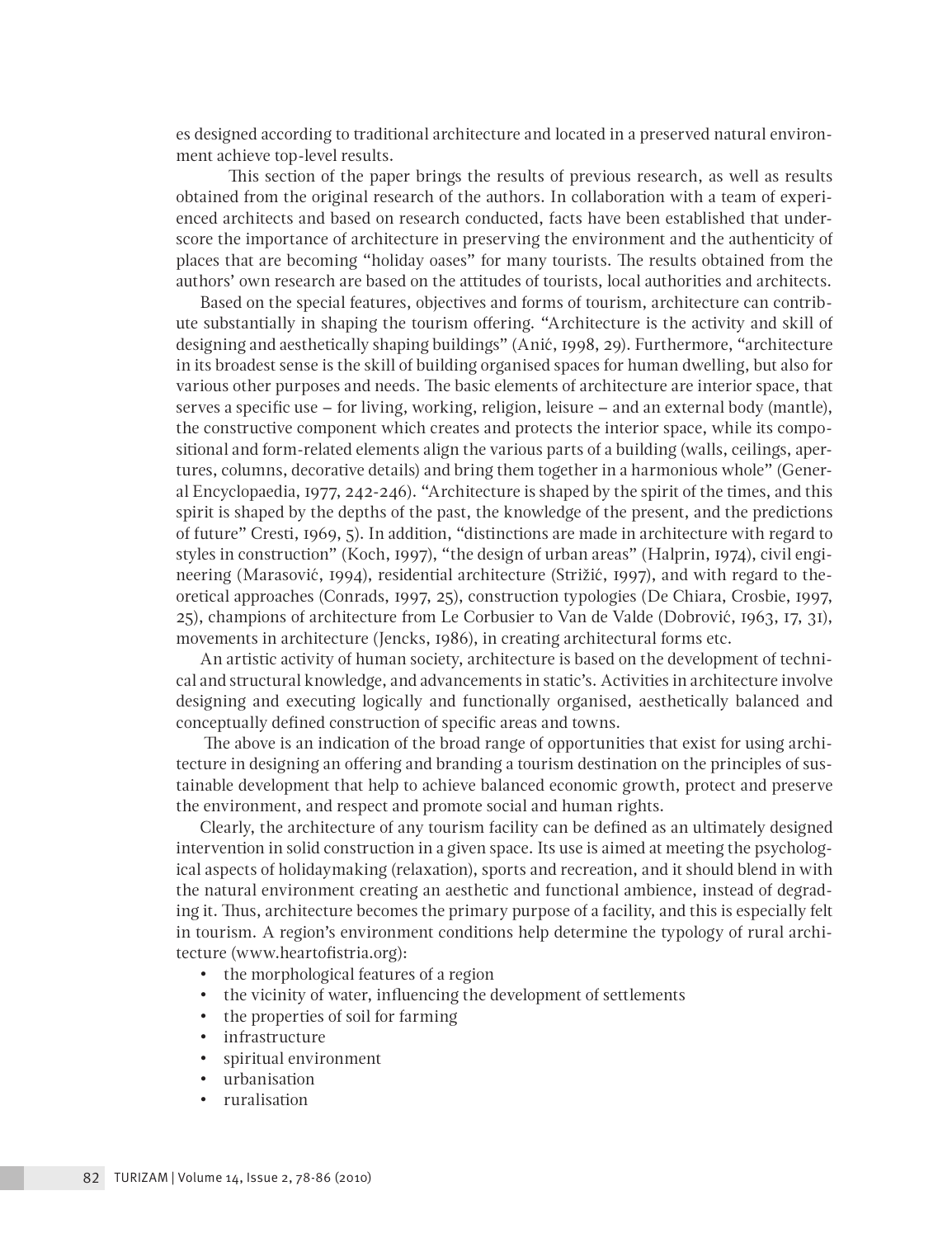es designed according to traditional architecture and located in a preserved natural environment achieve top-level results.

 This section of the paper brings the results of previous research, as well as results obtained from the original research of the authors. In collaboration with a team of experienced architects and based on research conducted, facts have been established that underscore the importance of architecture in preserving the environment and the authenticity of places that are becoming "holiday oases" for many tourists. The results obtained from the authors' own research are based on the attitudes of tourists, local authorities and architects.

Based on the special features, objectives and forms of tourism, architecture can contribute substantially in shaping the tourism offering. "Architecture is the activity and skill of designing and aesthetically shaping buildings" (Anić, 1998, 29). Furthermore, "architecture in its broadest sense is the skill of building organised spaces for human dwelling, but also for various other purposes and needs. The basic elements of architecture are interior space, that serves a specific use – for living, working, religion, leisure – and an external body (mantle), the constructive component which creates and protects the interior space, while its compositional and form-related elements align the various parts of a building (walls, ceilings, apertures, columns, decorative details) and bring them together in a harmonious whole" (General Encyclopaedia, 1977, 242-246). "Architecture is shaped by the spirit of the times, and this spirit is shaped by the depths of the past, the knowledge of the present, and the predictions of future" Cresti, 1969, 5). In addition, "distinctions are made in architecture with regard to styles in construction" (Koch, 1997), "the design of urban areas" (Halprin, 1974), civil engineering (Marasović, 1994), residential architecture (Strižić, 1997), and with regard to theoretical approaches (Conrads, 1997, 25), construction typologies (De Chiara, Crosbie, 1997, 25), champions of architecture from Le Corbusier to Van de Valde (Dobrović, 1963, 17, 31), movements in architecture (Jencks, 1986), in creating architectural forms etc.

An artistic activity of human society, architecture is based on the development of technical and structural knowledge, and advancements in static's. Activities in architecture involve designing and executing logically and functionally organised, aesthetically balanced and conceptually defined construction of specific areas and towns.

 The above is an indication of the broad range of opportunities that exist for using architecture in designing an offering and branding a tourism destination on the principles of sustainable development that help to achieve balanced economic growth, protect and preserve the environment, and respect and promote social and human rights.

Clearly, the architecture of any tourism facility can be defined as an ultimately designed intervention in solid construction in a given space. Its use is aimed at meeting the psychological aspects of holidaymaking (relaxation), sports and recreation, and it should blend in with the natural environment creating an aesthetic and functional ambience, instead of degrading it. Thus, architecture becomes the primary purpose of a facility, and this is especially felt in tourism. A region's environment conditions help determine the typology of rural architecture (www.heartofistria.org):

- the morphological features of a region
- the vicinity of water, influencing the development of settlements
- the properties of soil for farming
- infrastructure
- spiritual environment
- urbanisation
- ruralisation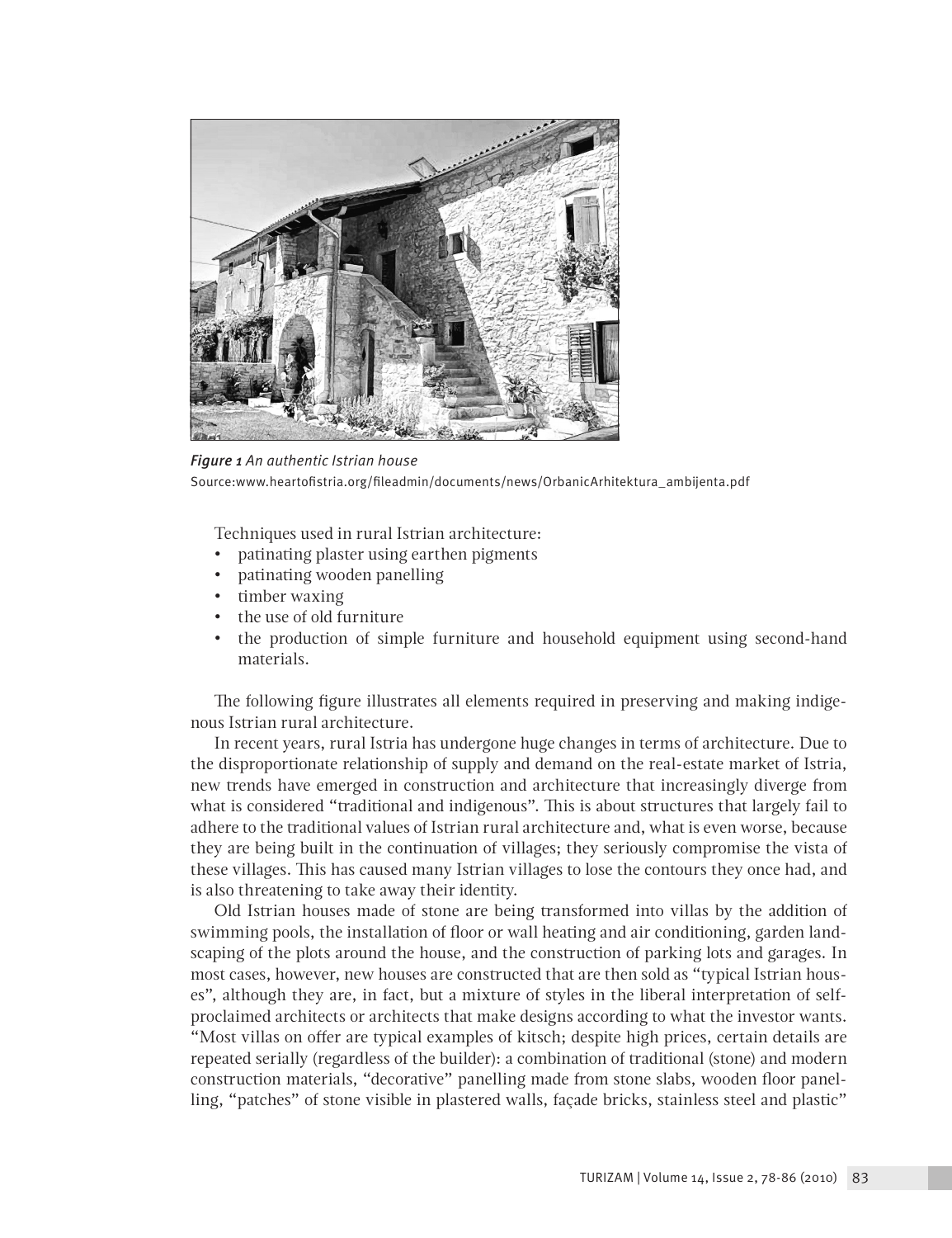

*Figure 1 An authentic Istrian house*  Source:www.heartofistria.org/fileadmin/documents/news/OrbanicArhitektura\_ambijenta.pdf

Techniques used in rural Istrian architecture:

- patinating plaster using earthen pigments
- patinating wooden panelling
- timber waxing
- the use of old furniture
- the production of simple furniture and household equipment using second-hand materials.

The following figure illustrates all elements required in preserving and making indigenous Istrian rural architecture.

In recent years, rural Istria has undergone huge changes in terms of architecture. Due to the disproportionate relationship of supply and demand on the real-estate market of Istria, new trends have emerged in construction and architecture that increasingly diverge from what is considered "traditional and indigenous". This is about structures that largely fail to adhere to the traditional values of Istrian rural architecture and, what is even worse, because they are being built in the continuation of villages; they seriously compromise the vista of these villages. This has caused many Istrian villages to lose the contours they once had, and is also threatening to take away their identity.

Old Istrian houses made of stone are being transformed into villas by the addition of swimming pools, the installation of floor or wall heating and air conditioning, garden landscaping of the plots around the house, and the construction of parking lots and garages. In most cases, however, new houses are constructed that are then sold as "typical Istrian houses", although they are, in fact, but a mixture of styles in the liberal interpretation of selfproclaimed architects or architects that make designs according to what the investor wants. "Most villas on offer are typical examples of kitsch; despite high prices, certain details are repeated serially (regardless of the builder): a combination of traditional (stone) and modern construction materials, "decorative" panelling made from stone slabs, wooden floor panelling, "patches" of stone visible in plastered walls, façade bricks, stainless steel and plastic"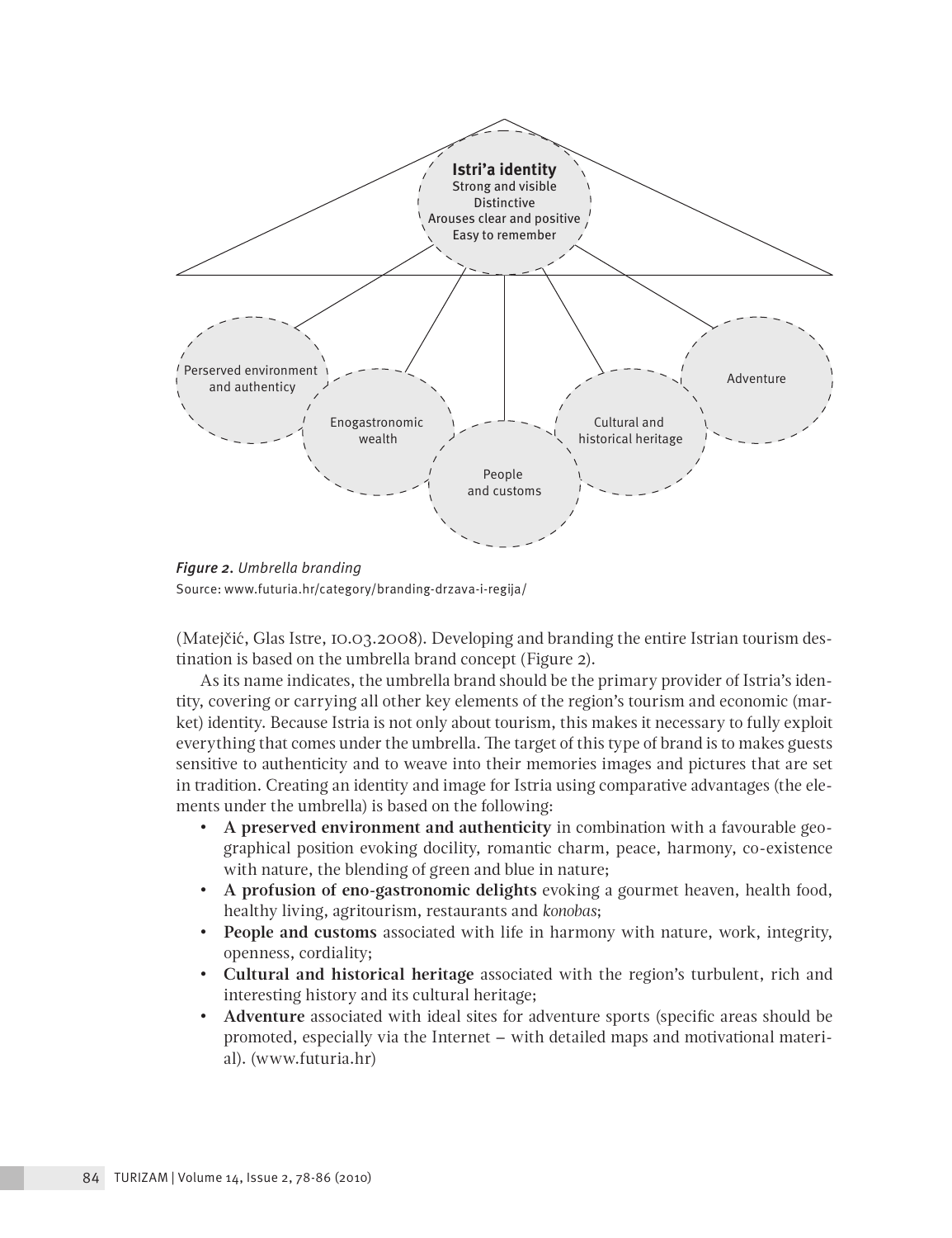

*Figure 2. Umbrella branding* Source: www.futuria.hr/category/branding-drzava-i-regija/

(Matejčić, Glas Istre, 10.03.2008). Developing and branding the entire Istrian tourism destination is based on the umbrella brand concept (Figure 2).

As its name indicates, the umbrella brand should be the primary provider of Istria's identity, covering or carrying all other key elements of the region's tourism and economic (market) identity. Because Istria is not only about tourism, this makes it necessary to fully exploit everything that comes under the umbrella. The target of this type of brand is to makes guests sensitive to authenticity and to weave into their memories images and pictures that are set in tradition. Creating an identity and image for Istria using comparative advantages (the elements under the umbrella) is based on the following:

- **A preserved environment and authenticity** in combination with a favourable geographical position evoking docility, romantic charm, peace, harmony, co-existence with nature, the blending of green and blue in nature;
- **A profusion of eno-gastronomic delights** evoking a gourmet heaven, health food, healthy living, agritourism, restaurants and *konobas*;
- **People and customs** associated with life in harmony with nature, work, integrity, openness, cordiality;
- **Cultural and historical heritage** associated with the region's turbulent, rich and interesting history and its cultural heritage;
- **Adventure** associated with ideal sites for adventure sports (specific areas should be promoted, especially via the Internet – with detailed maps and motivational material). (www.futuria.hr)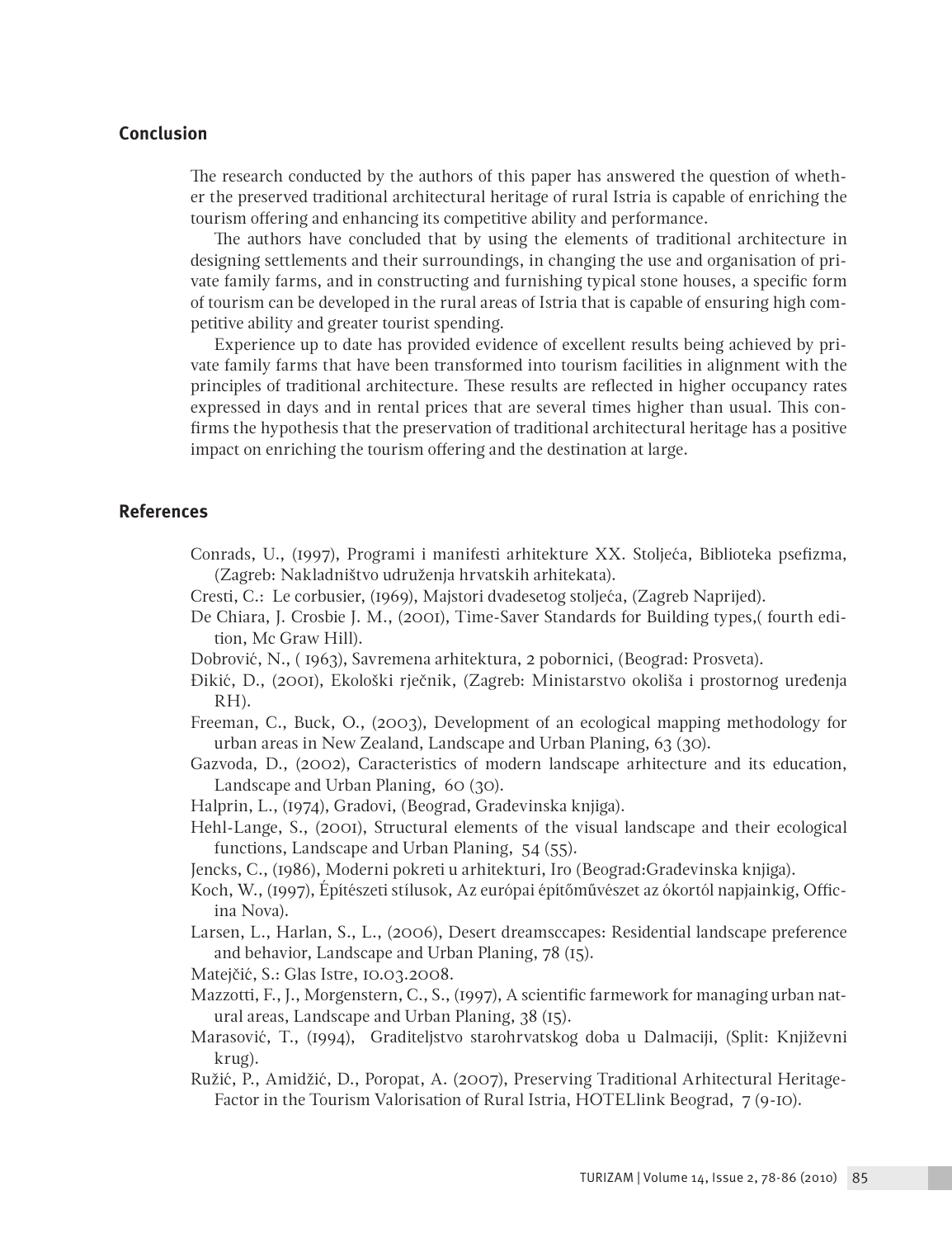# **Conclusion**

The research conducted by the authors of this paper has answered the question of whether the preserved traditional architectural heritage of rural Istria is capable of enriching the tourism offering and enhancing its competitive ability and performance.

The authors have concluded that by using the elements of traditional architecture in designing settlements and their surroundings, in changing the use and organisation of private family farms, and in constructing and furnishing typical stone houses, a specific form of tourism can be developed in the rural areas of Istria that is capable of ensuring high competitive ability and greater tourist spending.

Experience up to date has provided evidence of excellent results being achieved by private family farms that have been transformed into tourism facilities in alignment with the principles of traditional architecture. These results are reflected in higher occupancy rates expressed in days and in rental prices that are several times higher than usual. This confirms the hypothesis that the preservation of traditional architectural heritage has a positive impact on enriching the tourism offering and the destination at large.

# **References**

- Conrads, U., (1997), Programi i manifesti arhitekture XX. Stoljeća, Biblioteka psefizma, (Zagreb: Nakladništvo udruženja hrvatskih arhitekata).
- Cresti, C.: Le corbusier, (1969), Majstori dvadesetog stoljeća, (Zagreb Naprijed).
- De Chiara, J. Crosbie J. M., (2001), Time-Saver Standards for Building types,( fourth edition, Mc Graw Hill).
- Dobrović, N., ( 1963), Savremena arhitektura, 2 pobornici, (Beograd: Prosveta).
- Đikić, D., (2001), Ekološki rječnik, (Zagreb: Ministarstvo okoliša i prostornog uređenja RH).
- Freeman, C., Buck, O., (2003), Development of an ecological mapping methodology for urban areas in New Zealand, Landscape and Urban Planing, 63 (30).
- Gazvoda, D., (2002), Caracteristics of modern landscape arhitecture and its education, Landscape and Urban Planing, 60 (30).
- Halprin, L., (1974), Gradovi, (Beograd, Građevinska knjiga).
- Hehl-Lange, S., (2001), Structural elements of the visual landscape and their ecological functions, Landscape and Urban Planing, 54 (55).
- Jencks, C., (1986), Moderni pokreti u arhitekturi, Iro (Beograd:Građevinska knjiga).
- Koch, W., (1997), Építészeti stílusok, Az európai építőművészet az ókortól napjainkig, Officina Nova).
- Larsen, L., Harlan, S., L., (2006), Desert dreamsccapes: Residential landscape preference and behavior, Landscape and Urban Planing, 78 (15).
- Matejčić, S.: Glas Istre, 10.03.2008.
- Mazzotti, F., J., Morgenstern, C., S., (1997), A scientific farmework for managing urban natural areas, Landscape and Urban Planing, 38 (15).
- Marasović, T., (1994), Graditeljstvo starohrvatskog doba u Dalmaciji, (Split: Književni krug).
- Ružić, P., Amidžić, D., Poropat, A. (2007), Preserving Traditional Arhitectural Heritage-Factor in the Tourism Valorisation of Rural Istria, HOTELlink Beograd, 7 (9-10).